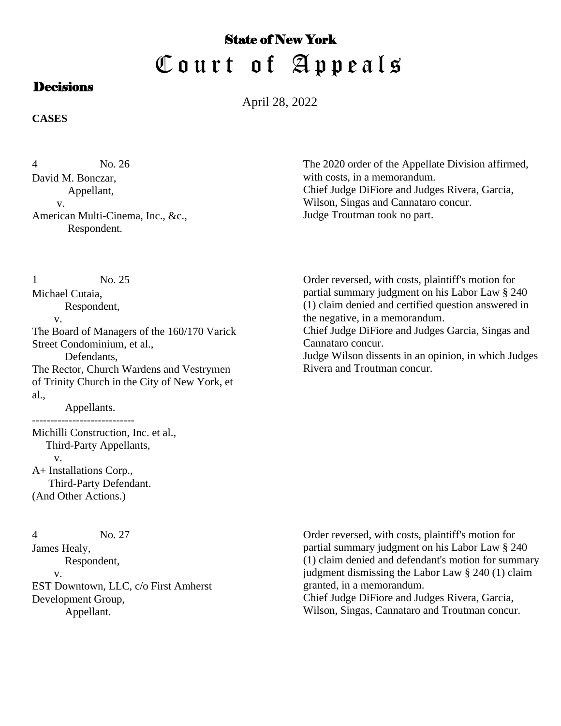## State of New York Court of Appeals

## **Decisions**

April 28, 2022

**CASES**

No. 26 David M. Bonczar, Appellant, v. American Multi-Cinema, Inc., &c., Respondent. 4

The 2020 order of the Appellate Division affirmed, with costs, in a memorandum. Chief Judge DiFiore and Judges Rivera, Garcia, Wilson, Singas and Cannataro concur. Judge Troutman took no part.

No. 25 Michael Cutaia, 1

Respondent,

v.

The Board of Managers of the 160/170 Varick Street Condominium, et al., Defendants,

The Rector, Church Wardens and Vestrymen of Trinity Church in the City of New York, et al.,

 Appellants. ----------------------------

Michilli Construction, Inc. et al., Third-Party Appellants, v. A+ Installations Corp., Third-Party Defendant. (And Other Actions.)

No. 27 4

James Healy, Respondent, v. EST Downtown, LLC, c/o First Amherst Development Group, Appellant.

Order reversed, with costs, plaintiff's motion for partial summary judgment on his Labor Law § 240 (1) claim denied and certified question answered in the negative, in a memorandum. Chief Judge DiFiore and Judges Garcia, Singas and

Cannataro concur. Judge Wilson dissents in an opinion, in which Judges Rivera and Troutman concur.

Order reversed, with costs, plaintiff's motion for partial summary judgment on his Labor Law § 240 (1) claim denied and defendant's motion for summary judgment dismissing the Labor Law § 240 (1) claim granted, in a memorandum. Chief Judge DiFiore and Judges Rivera, Garcia,

Wilson, Singas, Cannataro and Troutman concur.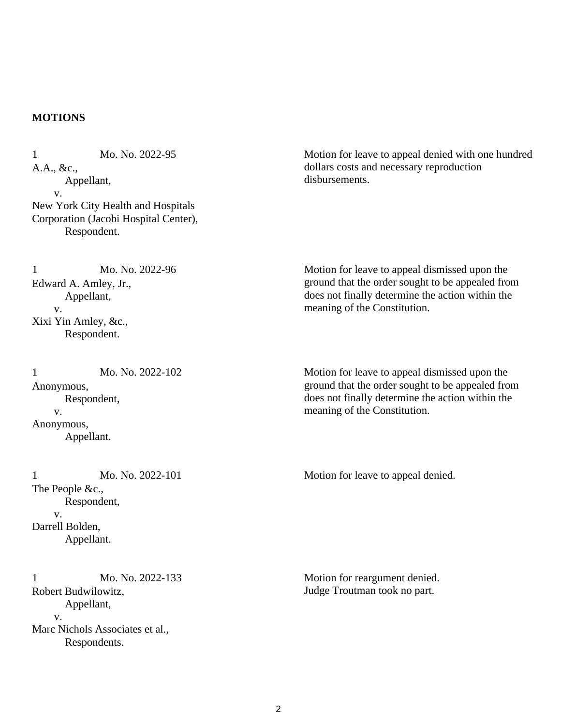## **MOTIONS**

Mo. No. 2022-95 A.A., &c., Appellant, v. New York City Health and Hospitals Corporation (Jacobi Hospital Center), Respondent. 1

Mo. No. 2022-96 Edward A. Amley, Jr., Appellant, v. Xixi Yin Amley, &c., Respondent. 1

Mo. No. 2022-102 Anonymous, Respondent, v. Anonymous, Appellant. 1

Mo. No. 2022-101 The People &c., Respondent, v. Darrell Bolden, Appellant. 1 Mo. No. 2022-101 Motion for leave to appeal denied.

Mo. No. 2022-133 Robert Budwilowitz, Appellant, v. Marc Nichols Associates et al., Respondents. 1

Motion for leave to appeal denied with one hundred dollars costs and necessary reproduction disbursements.

Motion for leave to appeal dismissed upon the ground that the order sought to be appealed from does not finally determine the action within the meaning of the Constitution.

Motion for leave to appeal dismissed upon the ground that the order sought to be appealed from does not finally determine the action within the meaning of the Constitution.

Motion for reargument denied. Judge Troutman took no part.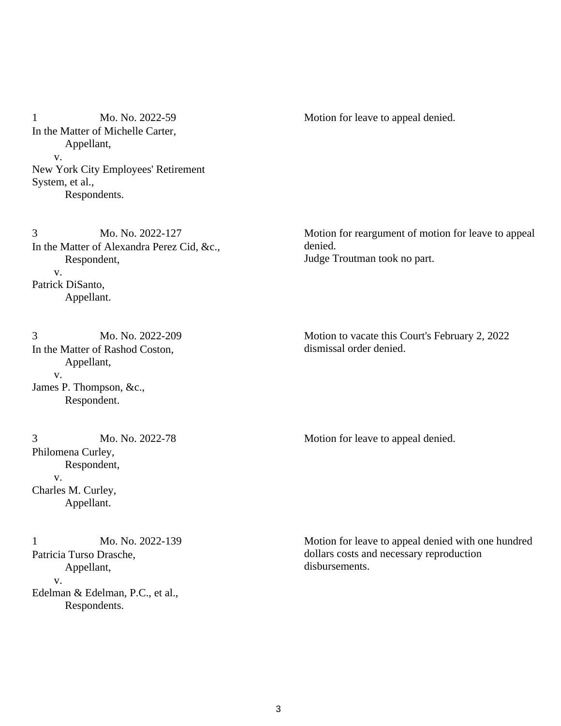Mo. No. 2022-59 In the Matter of Michelle Carter, Appellant, v. New York City Employees' Retirement System, et al., Respondents. 1 Mo. No. 2022-59 Motion for leave to appeal denied.

Mo. No. 2022-127 In the Matter of Alexandra Perez Cid, &c., Respondent, v. Patrick DiSanto, Appellant. 3

Mo. No. 2022-209 In the Matter of Rashod Coston, Appellant, v. James P. Thompson, &c., Respondent. 3

Mo. No. 2022-78 Philomena Curley, Respondent, v. Charles M. Curley, Appellant.

Mo. No. 2022-139 Patricia Turso Drasche, Appellant, v. Edelman & Edelman, P.C., et al., Respondents. 1

Motion for reargument of motion for leave to appeal denied. Judge Troutman took no part.

Motion to vacate this Court's February 2, 2022 dismissal order denied.

3 Mo. No. 2022-78 Motion for leave to appeal denied.

Motion for leave to appeal denied with one hundred dollars costs and necessary reproduction disbursements.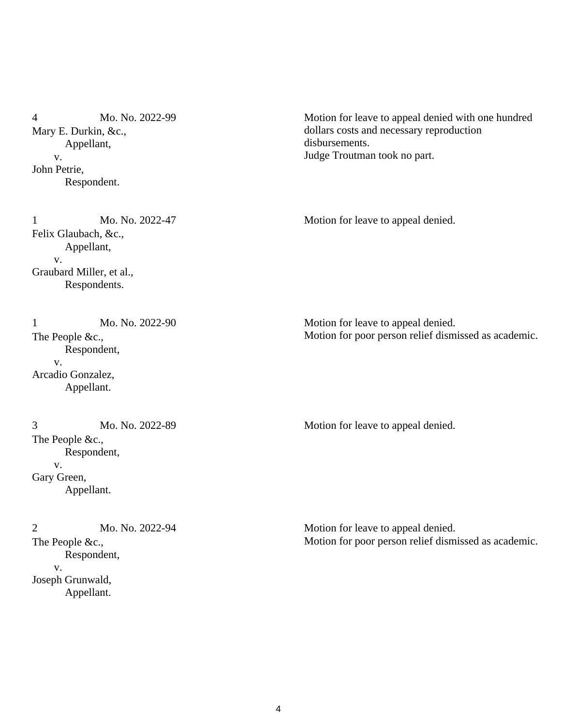Mo. No. 2022-99 Mary E. Durkin, &c., Appellant, v. John Petrie, Respondent. 4

Mo. No. 2022-47 Felix Glaubach, &c., Appellant, v. Graubard Miller, et al., Respondents.

Mo. No. 2022-90 The People &c., Respondent, v. Arcadio Gonzalez, Appellant. 1

Mo. No. 2022-89 The People &c., Respondent, v. Gary Green, Appellant.

Mo. No. 2022-94 The People &c., Respondent, v. Joseph Grunwald, Appellant. 2

Motion for leave to appeal denied with one hundred dollars costs and necessary reproduction disbursements. Judge Troutman took no part.

1 Mo. No. 2022-47 Motion for leave to appeal denied.

Motion for leave to appeal denied. Motion for poor person relief dismissed as academic.

3 Mo. No. 2022-89 Motion for leave to appeal denied.

Motion for leave to appeal denied. Motion for poor person relief dismissed as academic.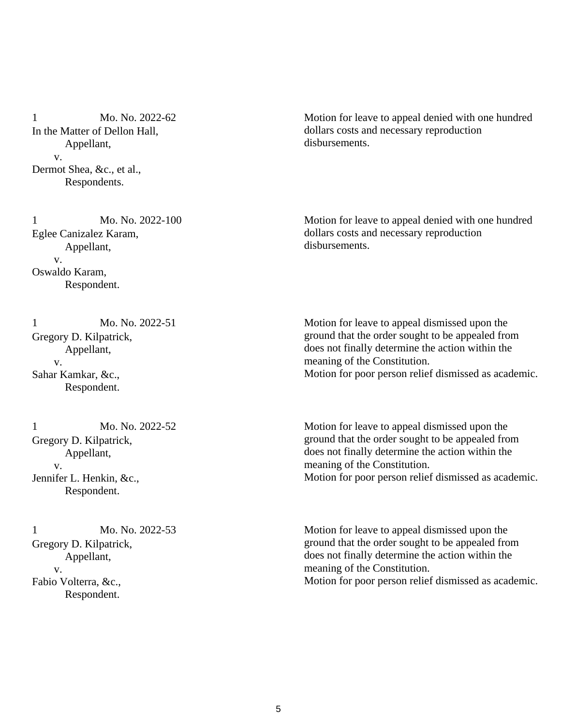Mo. No. 2022-62 In the Matter of Dellon Hall, Appellant, v. Dermot Shea, &c., et al., Respondents. 1

Motion for leave to appeal denied with one hundred dollars costs and necessary reproduction disbursements.

Mo. No. 2022-100 Eglee Canizalez Karam, Appellant, v. Oswaldo Karam, Respondent. 1

Mo. No. 2022-51 Gregory D. Kilpatrick, Appellant, v. Sahar Kamkar, &c., Respondent. 1

Mo. No. 2022-52 Gregory D. Kilpatrick, Appellant, v. Jennifer L. Henkin, &c., Respondent. 1

Mo. No. 2022-53 Gregory D. Kilpatrick, Appellant, v. Fabio Volterra, &c., Respondent. 1

Motion for leave to appeal denied with one hundred dollars costs and necessary reproduction disbursements.

Motion for leave to appeal dismissed upon the ground that the order sought to be appealed from does not finally determine the action within the meaning of the Constitution. Motion for poor person relief dismissed as academic.

Motion for leave to appeal dismissed upon the ground that the order sought to be appealed from does not finally determine the action within the meaning of the Constitution. Motion for poor person relief dismissed as academic.

Motion for leave to appeal dismissed upon the ground that the order sought to be appealed from does not finally determine the action within the meaning of the Constitution. Motion for poor person relief dismissed as academic.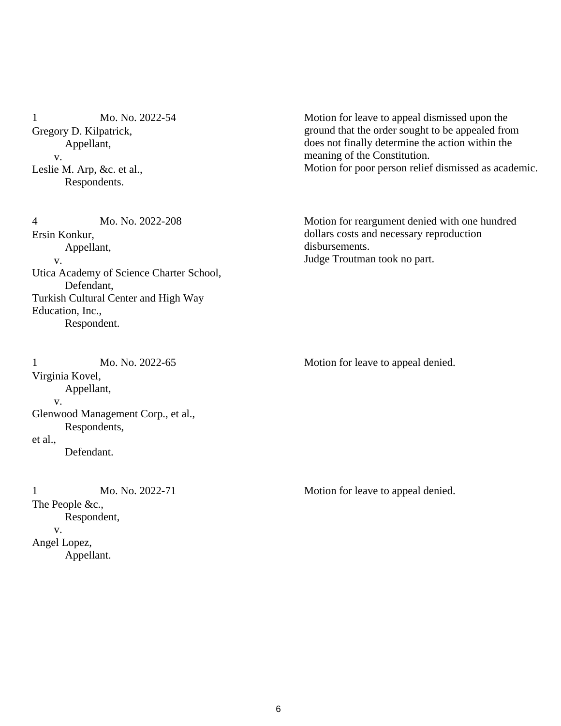Mo. No. 2022-54 Gregory D. Kilpatrick, Appellant, v. Leslie M. Arp, &c. et al., Respondents. 1

Mo. No. 2022-208 Ersin Konkur, Appellant, v. Utica Academy of Science Charter School, Defendant, Turkish Cultural Center and High Way Education, Inc., Respondent. 4

Mo. No. 2022-65 Virginia Kovel, Appellant, v. Glenwood Management Corp., et al., Respondents, et al., Defendant.

Mo. No. 2022-71 The People &c., Respondent, v. Angel Lopez, Appellant. 1 Mo. No. 2022-71 Motion for leave to appeal denied.

Motion for leave to appeal dismissed upon the ground that the order sought to be appealed from does not finally determine the action within the meaning of the Constitution. Motion for poor person relief dismissed as academic.

Motion for reargument denied with one hundred dollars costs and necessary reproduction disbursements. Judge Troutman took no part.

1 Mo. No. 2022-65 Motion for leave to appeal denied.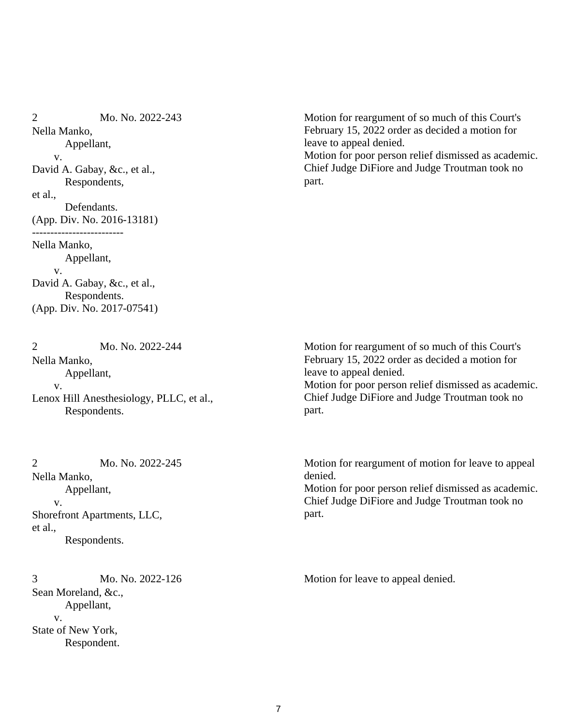Mo. No. 2022-243 Nella Manko, Appellant, v. David A. Gabay, &c., et al., Respondents, et al., Defendants. (App. Div. No. 2016-13181) ------------------------- Nella Manko, Appellant, v. David A. Gabay, &c., et al., Respondents. (App. Div. No. 2017-07541) 2

Mo. No. 2022-244 Nella Manko, Appellant, v. Lenox Hill Anesthesiology, PLLC, et al., Respondents.  $\mathcal{D}_{\mathcal{L}}$ 

Mo. No. 2022-245 Nella Manko, Appellant, v. Shorefront Apartments, LLC, et al., Respondents. 2

Mo. No. 2022-126 Sean Moreland, &c., Appellant, v. State of New York, Respondent. 3 Mo. No. 2022-126 Motion for leave to appeal denied.

Motion for reargument of so much of this Court's February 15, 2022 order as decided a motion for leave to appeal denied. Motion for poor person relief dismissed as academic. Chief Judge DiFiore and Judge Troutman took no part.

Motion for reargument of so much of this Court's February 15, 2022 order as decided a motion for leave to appeal denied. Motion for poor person relief dismissed as academic. Chief Judge DiFiore and Judge Troutman took no part.

Motion for reargument of motion for leave to appeal denied.

Motion for poor person relief dismissed as academic. Chief Judge DiFiore and Judge Troutman took no part.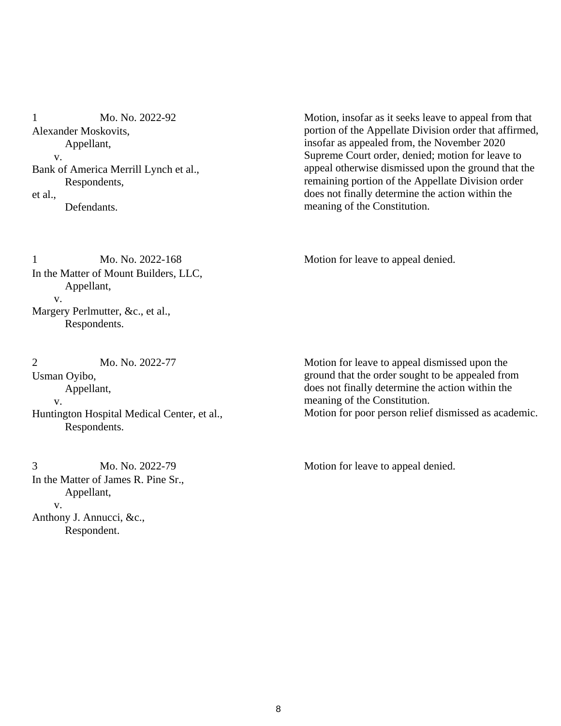Mo. No. 2022-92 Alexander Moskovits, Appellant, v. Bank of America Merrill Lynch et al., Respondents, et al., Defendants. 1

Motion, insofar as it seeks leave to appeal from that portion of the Appellate Division order that affirmed, insofar as appealed from, the November 2020 Supreme Court order, denied; motion for leave to appeal otherwise dismissed upon the ground that the remaining portion of the Appellate Division order does not finally determine the action within the meaning of the Constitution.

Mo. No. 2022-168 In the Matter of Mount Builders, LLC, Appellant, v. Margery Perlmutter, &c., et al., Respondents. 1 Mo. No. 2022-168 Motion for leave to appeal denied.

Mo. No. 2022-77 Usman Oyibo, Appellant, v. Huntington Hospital Medical Center, et al., Respondents. 2

Mo. No. 2022-79 In the Matter of James R. Pine Sr., Appellant, v. Anthony J. Annucci, &c., Respondent.

Motion for leave to appeal dismissed upon the ground that the order sought to be appealed from does not finally determine the action within the meaning of the Constitution. Motion for poor person relief dismissed as academic.

3 Mo. No. 2022-79 Motion for leave to appeal denied.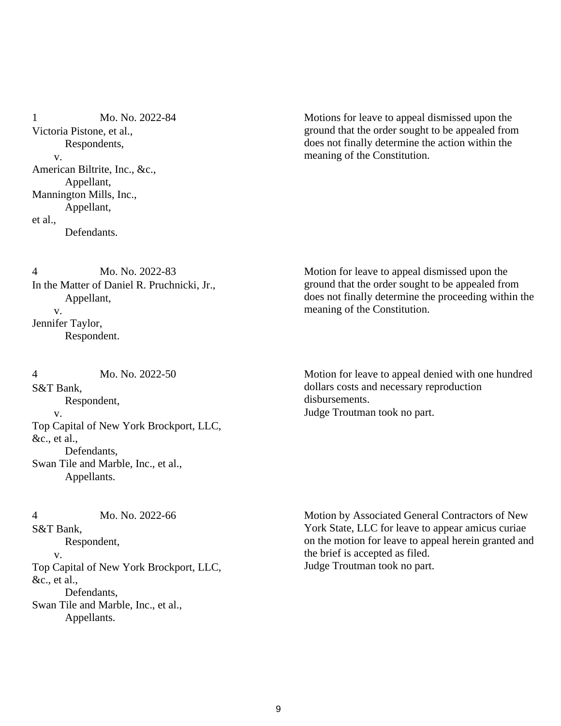Mo. No. 2022-84 Victoria Pistone, et al., Respondents, v. American Biltrite, Inc., &c., Appellant, Mannington Mills, Inc., Appellant, et al., Defendants. 1

Motions for leave to appeal dismissed upon the ground that the order sought to be appealed from does not finally determine the action within the meaning of the Constitution.

Mo. No. 2022-83 In the Matter of Daniel R. Pruchnicki, Jr., Appellant, v. Jennifer Taylor, Respondent. 4

Mo. No. 2022-50 S&T Bank, Respondent, v. Top Capital of New York Brockport, LLC, &c., et al., Defendants, Swan Tile and Marble, Inc., et al., Appellants. 4

Mo. No. 2022-66 S&T Bank, Respondent, v. Top Capital of New York Brockport, LLC, &c., et al., Defendants, Swan Tile and Marble, Inc., et al., Appellants. 4

Motion for leave to appeal dismissed upon the ground that the order sought to be appealed from does not finally determine the proceeding within the meaning of the Constitution.

Motion for leave to appeal denied with one hundred dollars costs and necessary reproduction disbursements. Judge Troutman took no part.

Motion by Associated General Contractors of New York State, LLC for leave to appear amicus curiae on the motion for leave to appeal herein granted and the brief is accepted as filed. Judge Troutman took no part.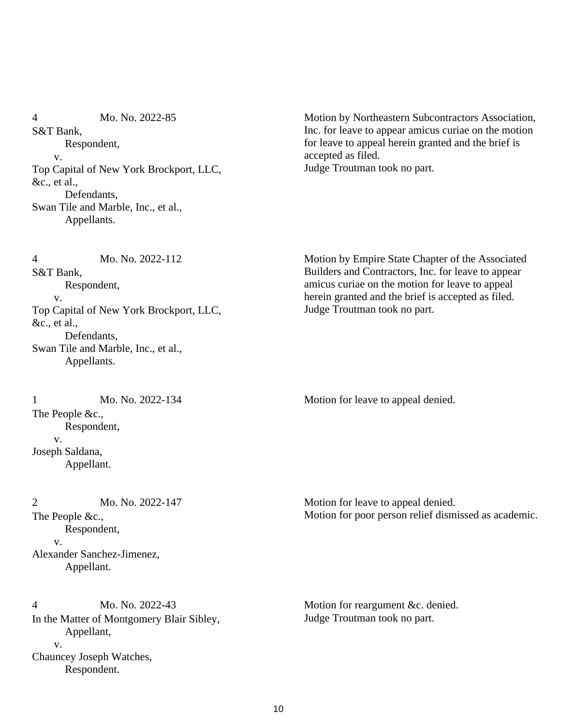Mo. No. 2022-85 S&T Bank, Respondent, v. Top Capital of New York Brockport, LLC, &c., et al., Defendants, Swan Tile and Marble, Inc., et al., Appellants. 4

Motion by Northeastern Subcontractors Association, Inc. for leave to appear amicus curiae on the motion for leave to appeal herein granted and the brief is accepted as filed. Judge Troutman took no part.

Mo. No. 2022-112 S&T Bank, Respondent, v. Top Capital of New York Brockport, LLC, &c., et al., Defendants, Swan Tile and Marble, Inc., et al., Appellants. 4

Mo. No. 2022-134 The People &c., Respondent, v. Joseph Saldana, Appellant.

Mo. No. 2022-147 The People &c., Respondent, v. Alexander Sanchez-Jimenez, Appellant.  $\mathcal{L}$ 

Mo. No. 2022-43 In the Matter of Montgomery Blair Sibley, Appellant, v. Chauncey Joseph Watches, Respondent. 4

Motion by Empire State Chapter of the Associated Builders and Contractors, Inc. for leave to appear amicus curiae on the motion for leave to appeal herein granted and the brief is accepted as filed. Judge Troutman took no part.

1 Mo. No. 2022-134 Motion for leave to appeal denied.

Motion for leave to appeal denied. Motion for poor person relief dismissed as academic.

Motion for reargument &c. denied. Judge Troutman took no part.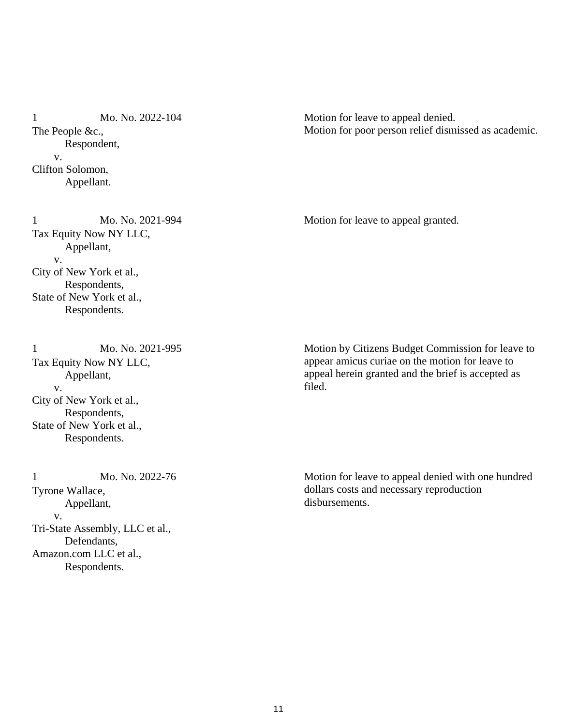Mo. No. 2022-104 The People &c., Respondent, v. Clifton Solomon, Appellant. 1

Motion for leave to appeal denied. Motion for poor person relief dismissed as academic.

1 Mo. No. 2021-994 Motion for leave to appeal granted.

Mo. No. 2021-994 Tax Equity Now NY LLC, Appellant, v. City of New York et al., Respondents, State of New York et al., Respondents.

Mo. No. 2021-995 Tax Equity Now NY LLC, Appellant, v. City of New York et al., Respondents, State of New York et al., Respondents. 1

Mo. No. 2022-76 Tyrone Wallace, Appellant, v. Tri-State Assembly, LLC et al., Defendants, Amazon.com LLC et al., Respondents. 1

Motion by Citizens Budget Commission for leave to appear amicus curiae on the motion for leave to appeal herein granted and the brief is accepted as filed.

Motion for leave to appeal denied with one hundred dollars costs and necessary reproduction disbursements.